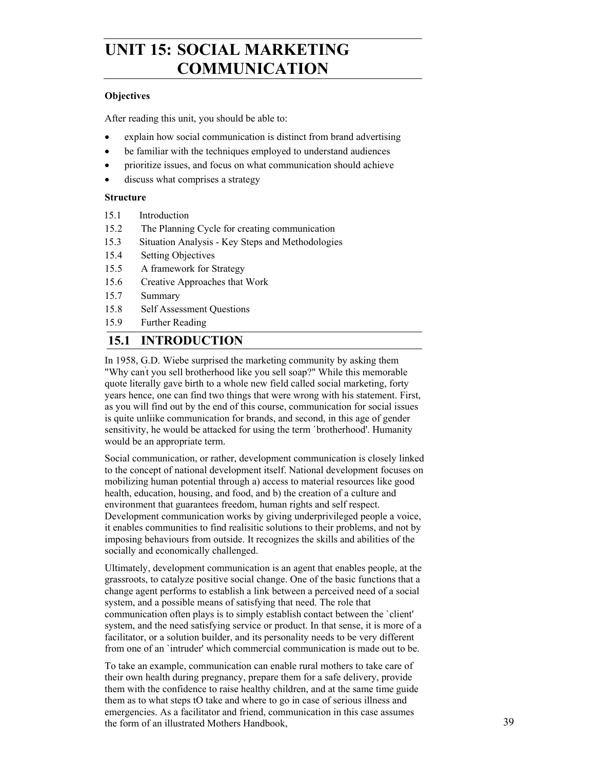# **UNIT 15: SOCIAL MARKETING COMMUNICATION**

### **Objectives**

After reading this unit, you should be able to:

- explain how social communication is distinct from brand advertising
- be familiar with the techniques employed to understand audiences
- prioritize issues, and focus on what communication should achieve
- discuss what comprises a strategy

### **Structure**

- 15.1 Introduction
- 15.2 The Planning Cycle for creating communication
- 15.3 Situation Analysis Key Steps and Methodologies
- 15.4 Setting Objectives
- 15.5 A framework for Strategy
- 15.6 Creative Approaches that Work
- 15.7 Summary
- 15.8 Self Assessment Questions
- 15.9 Further Reading

## **15.1 INTRODUCTION**

In 1958, G.D. Wiebe surprised the marketing community by asking them "Why can't you sell brotherhood like you sell soap?" While this memorable quote literally gave birth to a whole new field called social marketing, forty years hence, one can find two things that were wrong with his statement. First, as you will find out by the end of this course, communication for social issues is quite unliike communication for brands, and second, in this age of gender sensitivity, he would be attacked for using the term `brotherhood'. Humanity would be an appropriate term.

Social communication, or rather, development communication is closely linked to the concept of national development itself. National development focuses on mobilizing human potential through a) access to material resources like good health, education, housing, and food, and b) the creation of a culture and environment that guarantees freedom, human rights and self respect. Development communication works by giving underprivileged people a voice, it enables communities to find realisitic solutions to their problems, and not by imposing behaviours from outside. It recognizes the skills and abilities of the socially and economically challenged.

Ultimately, development communication is an agent that enables people, at the grassroots, to catalyze positive social change. One of the basic functions that a change agent performs to establish a link between a perceived need of a social system, and a possible means of satisfying that need. The role that communication often plays is to simply establish contact between the `client' system, and the need satisfying service or product. In that sense, it is more of a facilitator, or a solution builder, and its personality needs to be very different from one of an `intruder' which commercial communication is made out to be.

To take an example, communication can enable rural mothers to take care of their own health during pregnancy, prepare them for a safe delivery, provide them with the confidence to raise healthy children, and at the same time guide them as to what steps tO take and where to go in case of serious illness and emergencies. As a facilitator and friend, communication in this case assumes the form of an illustrated Mothers Handbook,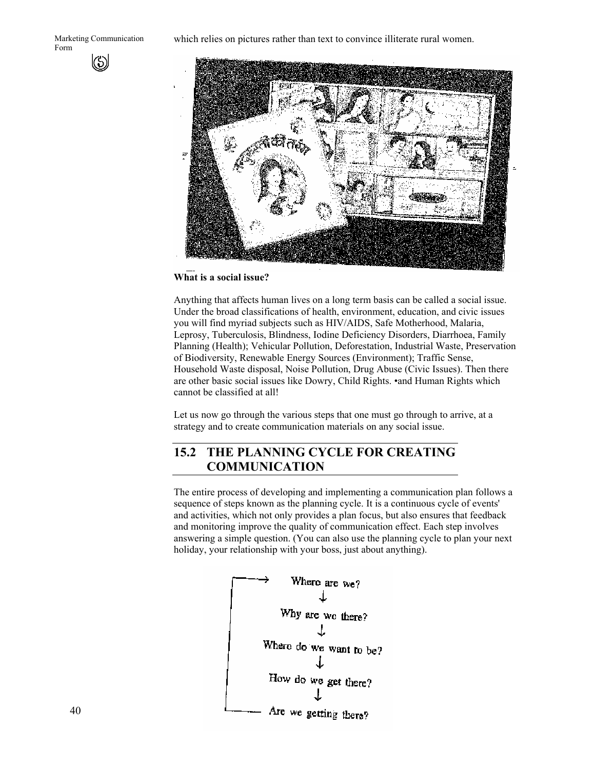which relies on pictures rather than text to convince illiterate rural women.



#### **What is a social issue?**

Anything that affects human lives on a long term basis can be called a social issue. Under the broad classifications of health, environment, education, and civic issues you will find myriad subjects such as HIV/AIDS, Safe Motherhood, Malaria, Leprosy, Tuberculosis, Blindness, Iodine Deficiency Disorders, Diarrhoea, Family Planning (Health); Vehicular Pollution, Deforestation, Industrial Waste, Preservation of Biodiversity, Renewable Energy Sources (Environment); Traffic Sense, Household Waste disposal, Noise Pollution, Drug Abuse (Civic Issues). Then there are other basic social issues like Dowry, Child Rights. •and Human Rights which cannot be classified at all!

Let us now go through the various steps that one must go through to arrive, at a strategy and to create communication materials on any social issue.

## **15.2 THE PLANNING CYCLE FOR CREATING COMMUNICATION**

The entire process of developing and implementing a communication plan follows a sequence of steps known as the planning cycle. It is a continuous cycle of events' and activities, which not only provides a plan focus, but also ensures that feedback and monitoring improve the quality of communication effect. Each step involves answering a simple question. (You can also use the planning cycle to plan your next holiday, your relationship with your boss, just about anything).

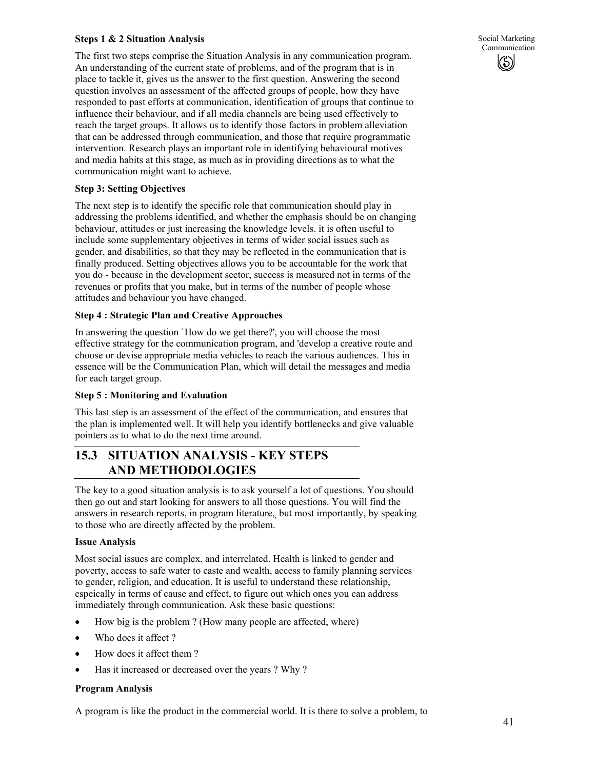### **Steps 1 & 2 Situation Analysis**

The first two steps comprise the Situation Analysis in any communication program. An understanding of the current state of problems, and of the program that is in place to tackle it, gives us the answer to the first question. Answering the second question involves an assessment of the affected groups of people, how they have responded to past efforts at communication, identification of groups that continue to influence their behaviour, and if all media channels are being used effectively to reach the target groups. It allows us to identify those factors in problem alleviation that can be addressed through communication, and those that require programmatic intervention. Research plays an important role in identifying behavioural motives and media habits at this stage, as much as in providing directions as to what the communication might want to achieve.

#### **Step 3: Setting Objectives**

The next step is to identify the specific role that communication should play in addressing the problems identified, and whether the emphasis should be on changing behaviour, attitudes or just increasing the knowledge levels. it is often useful to include some supplementary objectives in terms of wider social issues such as gender, and disabilities, so that they may be reflected in the communication that is finally produced. Setting objectives allows you to be accountable for the work that you do - because in the development sector, success is measured not in terms of the revenues or profits that you make, but in terms of the number of people whose attitudes and behaviour you have changed.

### **Step 4 : Strategic Plan and Creative Approaches**

In answering the question `How do we get there?', you will choose the most effective strategy for the communication program, and 'develop a creative route and choose or devise appropriate media vehicles to reach the various audiences. This in essence will be the Communication Plan, which will detail the messages and media for each target group.

#### **Step 5 : Monitoring and Evaluation**

This last step is an assessment of the effect of the communication, and ensures that the plan is implemented well. It will help you identify bottlenecks and give valuable pointers as to what to do the next time around.

## **15.3 SITUATION ANALYSIS - KEY STEPS AND METHODOLOGIES**

The key to a good situation analysis is to ask yourself a lot of questions. You should then go out and start looking for answers to all those questions. You will find the answers in research reports, in program literature,, but most importantly, by speaking to those who are directly affected by the problem.

#### **Issue Analysis**

Most social issues are complex, and interrelated. Health is linked to gender and poverty, access to safe water to caste and wealth, access to family planning services to gender, religion, and education. It is useful to understand these relationship, espeically in terms of cause and effect, to figure out which ones you can address immediately through communication. Ask these basic questions:

- How big is the problem ? (How many people are affected, where)
- Who does it affect?
- How does it affect them?
- Has it increased or decreased over the years ? Why ?

#### **Program Analysis**

A program is like the product in the commercial world. It is there to solve a problem, to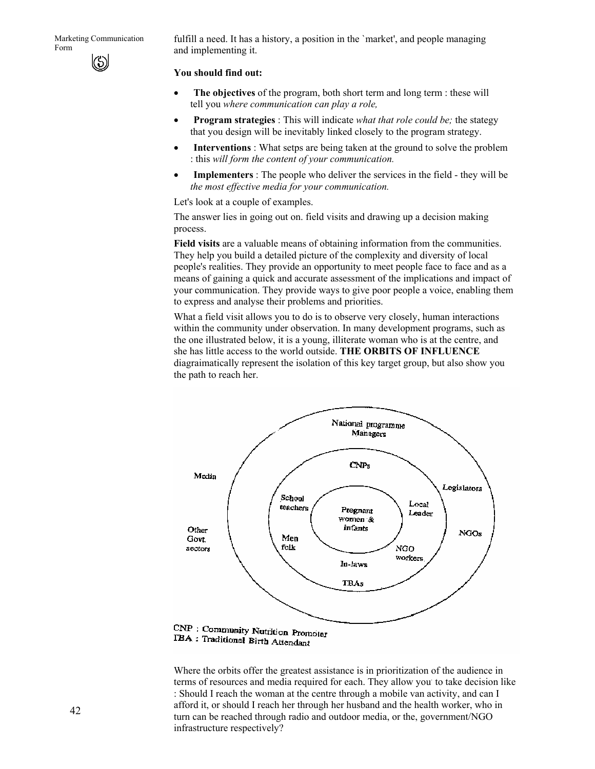fulfill a need. It has a history, a position in the `market', and people managing and implementing it.

#### **You should find out:**

- **The objectives** of the program, both short term and long term : these will tell you *where communication can play a role,*
- **Program strategies** : This will indicate *what that role could be;* the stategy that you design will be inevitably linked closely to the program strategy.
- **Interventions**: What setps are being taken at the ground to solve the problem : this *will form the content of your communication.*
- **Implementers** : The people who deliver the services in the field they will be *the most effective media for your communication.*

Let's look at a couple of examples.

The answer lies in going out on. field visits and drawing up a decision making process.

**Field visits** are a valuable means of obtaining information from the communities. They help you build a detailed picture of the complexity and diversity of local people's realities. They provide an opportunity to meet people face to face and as a means of gaining a quick and accurate assessment of the implications and impact of your communication. They provide ways to give poor people a voice, enabling them to express and analyse their problems and priorities.

What a field visit allows you to do is to observe very closely, human interactions within the community under observation. In many development programs, such as the one illustrated below, it is a young, illiterate woman who is at the centre, and she has little access to the world outside. **THE ORBITS OF INFLUENCE** diagraimatically represent the isolation of this key target group, but also show you the path to reach her.



TBA: Traditional Birth Attendant

Where the orbits offer the greatest assistance is in prioritization of the audience in terms of resources and media required for each. They allow you. to take decision like : Should I reach the woman at the centre through a mobile van activity, and can I afford it, or should I reach her through her husband and the health worker, who in turn can be reached through radio and outdoor media, or the, government/NGO infrastructure respectively?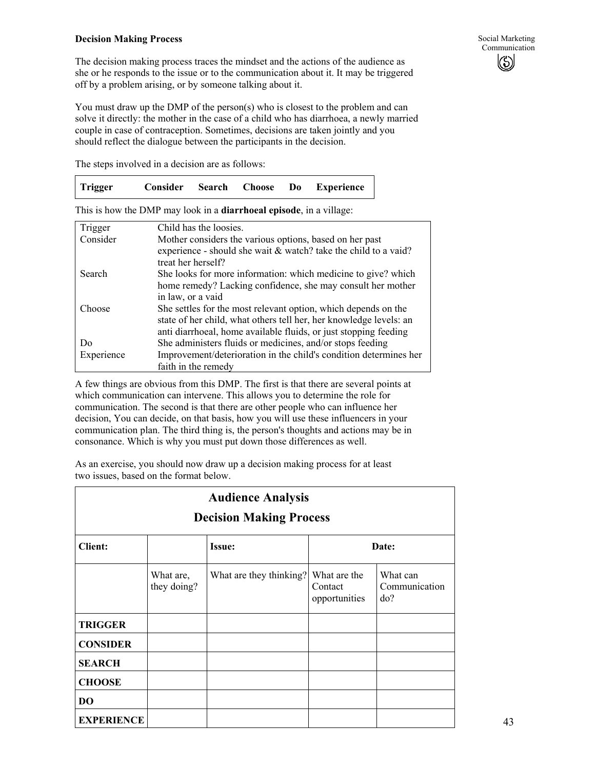#### **Decision Making Process**

The steps involved in a decision are as follows:

|  | Trigger | Consider Search Choose |  |  | Do | <b>Experience</b> |
|--|---------|------------------------|--|--|----|-------------------|
|--|---------|------------------------|--|--|----|-------------------|

This is how the DMP may look in a **diarrhoeal episode**, in a village:

| Trigger    | Child has the loosies.                                             |
|------------|--------------------------------------------------------------------|
| Consider   | Mother considers the various options, based on her past            |
|            | experience - should she wait & watch? take the child to a vaid?    |
|            | treat her herself?                                                 |
| Search     | She looks for more information: which medicine to give? which      |
|            | home remedy? Lacking confidence, she may consult her mother        |
|            | in law, or a vaid                                                  |
| Choose     | She settles for the most relevant option, which depends on the     |
|            | state of her child, what others tell her, her knowledge levels: an |
|            | anti diarrhoeal, home available fluids, or just stopping feeding   |
| Do         | She administers fluids or medicines, and/or stops feeding          |
| Experience | Improvement/deterioration in the child's condition determines her  |
|            | faith in the remedy                                                |

A few things are obvious from this DMP. The first is that there are several points at which communication can intervene. This allows you to determine the role for communication. The second is that there are other people who can influence her decision, You can decide, on that basis, how you will use these influencers in your communication plan. The third thing is, the person's thoughts and actions may be in consonance. Which is why you must put down those differences as well.

As an exercise, you should now draw up a decision making process for at least two issues, based on the format below.

| <b>Audience Analysis</b><br><b>Decision Making Process</b> |                          |                         |                                          |                                  |  |  |
|------------------------------------------------------------|--------------------------|-------------------------|------------------------------------------|----------------------------------|--|--|
| <b>Client:</b>                                             | Date:<br><b>Issue:</b>   |                         |                                          |                                  |  |  |
|                                                            | What are,<br>they doing? | What are they thinking? | What are the<br>Contact<br>opportunities | What can<br>Communication<br>do? |  |  |
| <b>TRIGGER</b>                                             |                          |                         |                                          |                                  |  |  |
| <b>CONSIDER</b>                                            |                          |                         |                                          |                                  |  |  |
| <b>SEARCH</b>                                              |                          |                         |                                          |                                  |  |  |
| <b>CHOOSE</b>                                              |                          |                         |                                          |                                  |  |  |
| D <sub>O</sub>                                             |                          |                         |                                          |                                  |  |  |
| <b>EXPERIENCE</b>                                          |                          |                         |                                          |                                  |  |  |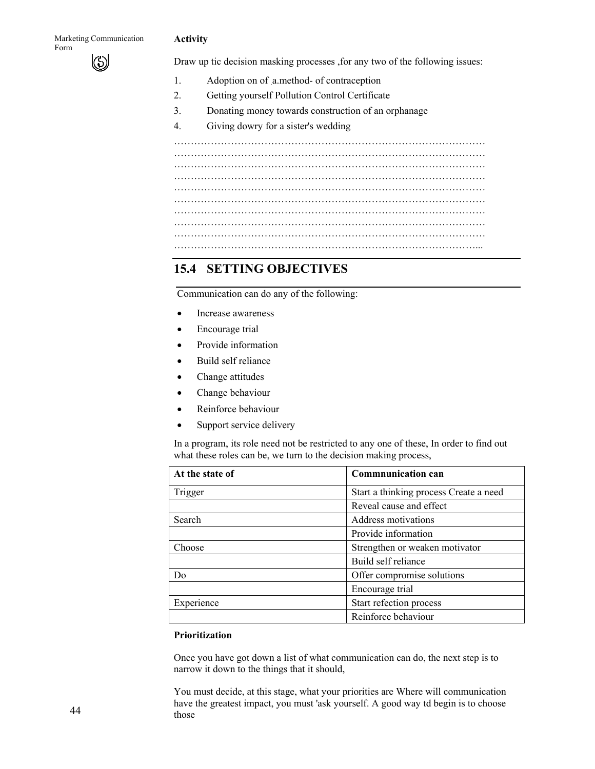#### **Activity**

Draw up tic decision masking processes ,for any two of the following issues:

- 1. Adoption on of a.method- of contraception
- 2. Getting yourself Pollution Control Certificate
- 3. Donating money towards construction of an orphanage
- 4. Giving dowry for a sister's wedding

………………………………………………………………………………… ………………………………………………………………………………… ………………………………………………………………………………… ………………………………………………………………………………… ………………………………………………………………………………… ………………………………………………………………………………… ………………………………………………………………………………… ………………………………………………………………………………...

## **15.4 SETTING OBJECTIVES**

Communication can do any of the following:

- Increase awareness
- Encourage trial
- Provide information
- Build self reliance
- Change attitudes
- Change behaviour
- Reinforce behaviour
- Support service delivery

In a program, its role need not be restricted to any one of these, In order to find out what these roles can be, we turn to the decision making process,

| At the state of | <b>Commnunication can</b>              |  |
|-----------------|----------------------------------------|--|
| Trigger         | Start a thinking process Create a need |  |
|                 | Reveal cause and effect                |  |
| Search          | Address motivations                    |  |
|                 | Provide information                    |  |
| Choose          | Strengthen or weaken motivator         |  |
|                 | Build self reliance                    |  |
| Do              | Offer compromise solutions             |  |
|                 | Encourage trial                        |  |
| Experience      | Start refection process                |  |
|                 | Reinforce behaviour                    |  |

### **Prioritization**

Once you have got down a list of what communication can do, the next step is to narrow it down to the things that it should,

You must decide, at this stage, what your priorities are Where will communication have the greatest impact, you must 'ask yourself. A good way td begin is to choose those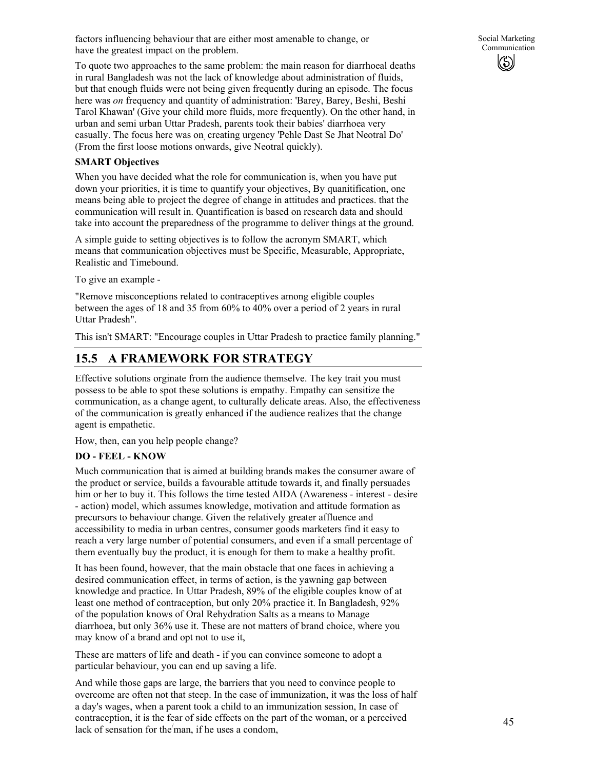factors influencing behaviour that are either most amenable to change, or have the greatest impact on the problem.

To quote two approaches to the same problem: the main reason for diarrhoeal deaths in rural Bangladesh was not the lack of knowledge about administration of fluids, but that enough fluids were not being given frequently during an episode. The focus here was *on* frequency and quantity of administration: 'Barey, Barey, Beshi, Beshi Tarol Khawan' (Give your child more fluids, more frequently). On the other hand, in urban and semi urban Uttar Pradesh, parents took their babies' diarrhoea very casually. The focus here was on, creating urgency 'Pehle Dast Se Jhat Neotral Do' (From the first loose motions onwards, give Neotral quickly).

### **SMART Objectives**

When you have decided what the role for communication is, when you have put down your priorities, it is time to quantify your objectives, By quanitification, one means being able to project the degree of change in attitudes and practices. that the communication will result in. Quantification is based on research data and should take into account the preparedness of the programme to deliver things at the ground.

A simple guide to setting objectives is to follow the acronym SMART, which means that communication objectives must be Specific, Measurable, Appropriate, Realistic and Timebound.

To give an example -

"Remove misconceptions related to contraceptives among eligible couples between the ages of 18 and 35 from 60% to 40% over a period of 2 years in rural Uttar Pradesh".

This isn't SMART: "Encourage couples in Uttar Pradesh to practice family planning."

## **15.5 A FRAMEWORK FOR STRATEGY**

Effective solutions orginate from the audience themselve. The key trait you must possess to be able to spot these solutions is empathy. Empathy can sensitize the communication, as a change agent, to culturally delicate areas. Also, the effectiveness of the communication is greatly enhanced if the audience realizes that the change agent is empathetic.

How, then, can you help people change?

## **DO - FEEL - KNOW**

Much communication that is aimed at building brands makes the consumer aware of the product or service, builds a favourable attitude towards it, and finally persuades him or her to buy it. This follows the time tested AIDA (Awareness - interest - desire - action) model, which assumes knowledge, motivation and attitude formation as precursors to behaviour change. Given the relatively greater affluence and accessibility to media in urban centres, consumer goods marketers find it easy to reach a very large number of potential consumers, and even if a small percentage of them eventually buy the product, it is enough for them to make a healthy profit.

It has been found, however, that the main obstacle that one faces in achieving a desired communication effect, in terms of action, is the yawning gap between knowledge and practice. In Uttar Pradesh, 89% of the eligible couples know of at least one method of contraception, but only 20% practice it. In Bangladesh, 92% of the population knows of Oral Rehydration Salts as a means to Manage diarrhoea, but only 36% use it. These are not matters of brand choice, where you may know of a brand and opt not to use it,

These are matters of life and death - if you can convince someone to adopt a particular behaviour, you can end up saving a life.

And while those gaps are large, the barriers that you need to convince people to overcome are often not that steep. In the case of immunization, it was the loss of half a day's wages, when a parent took a child to an immunization session, In case of contraception, it is the fear of side effects on the part of the woman, or a perceived lack of sensation for the/ man, if he uses a condom,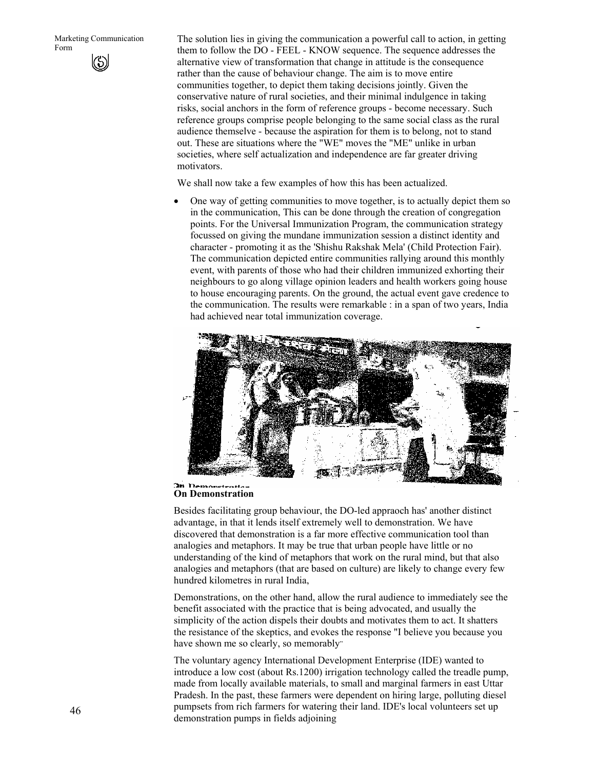The solution lies in giving the communication a powerful call to action, in getting them to follow the DO - FEEL - KNOW sequence. The sequence addresses the alternative view of transformation that change in attitude is the consequence rather than the cause of behaviour change. The aim is to move entire communities together, to depict them taking decisions jointly. Given the conservative nature of rural societies, and their minimal indulgence in taking risks, social anchors in the form of reference groups - become necessary. Such reference groups comprise people belonging to the same social class as the rural audience themselve - because the aspiration for them is to belong, not to stand out. These are situations where the "WE" moves the "ME" unlike in urban societies, where self actualization and independence are far greater driving motivators.

We shall now take a few examples of how this has been actualized.

• One way of getting communities to move together, is to actually depict them so in the communication, This can be done through the creation of congregation points. For the Universal Immunization Program, the communication strategy focussed on giving the mundane immunization session a distinct identity and character - promoting it as the 'Shishu Rakshak Mela' (Child Protection Fair). The communication depicted entire communities rallying around this monthly event, with parents of those who had their children immunized exhorting their neighbours to go along village opinion leaders and health workers going house to house encouraging parents. On the ground, the actual event gave credence to the communication. The results were remarkable : in a span of two years, India had achieved near total immunization coverage.



#### **On Demonstration On Demonstration**

Besides facilitating group behaviour, the DO-led appraoch has' another distinct advantage, in that it lends itself extremely well to demonstration. We have discovered that demonstration is a far more effective communication tool than analogies and metaphors. It may be true that urban people have little or no understanding of the kind of metaphors that work on the rural mind, but that also analogies and metaphors (that are based on culture) are likely to change every few hundred kilometres in rural India,

Demonstrations, on the other hand, allow the rural audience to immediately see the benefit associated with the practice that is being advocated, and usually the simplicity of the action dispels their doubts and motivates them to act. It shatters the resistance of the skeptics, and evokes the response "I believe you because you have shown me so clearly, so memorably"

The voluntary agency International Development Enterprise (IDE) wanted to introduce a low cost (about Rs.1200) irrigation technology called the treadle pump, made from locally available materials, to small and marginal farmers in east Uttar Pradesh. In the past, these farmers were dependent on hiring large, polluting diesel pumpsets from rich farmers for watering their land. IDE's local volunteers set up demonstration pumps in fields adjoining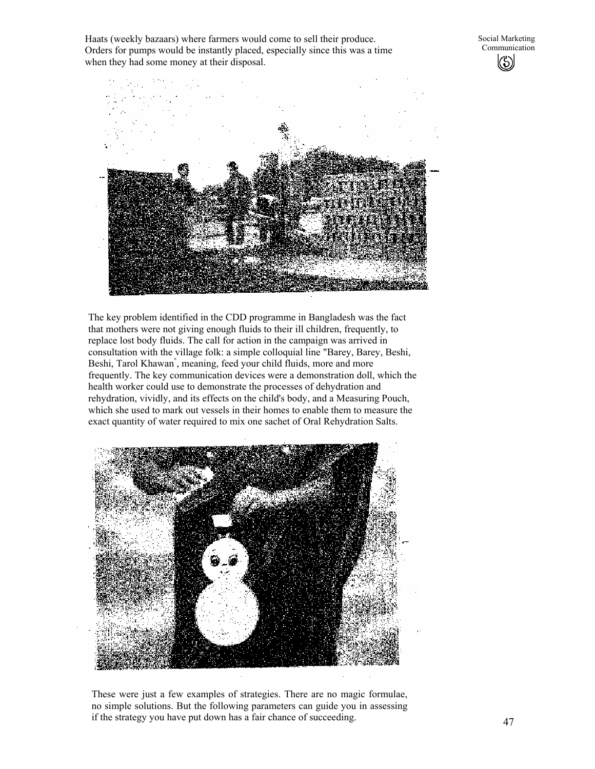Haats (weekly bazaars) where farmers would come to sell their produce. Orders for pumps would be instantly placed, especially since this was a time when they had some money at their disposal.



The key problem identified in the CDD programme in Bangladesh was the fact that mothers were not giving enough fluids to their ill children, frequently, to replace lost body fluids. The call for action in the campaign was arrived in consultation with the village folk: a simple colloquial line "Barey, Barey, Beshi, Beshi, Tarol Khawan" , meaning, feed your child fluids, more and more frequently. The key communication devices were a demonstration doll, which the health worker could use to demonstrate the processes of dehydration and rehydration, vividly, and its effects on the child's body, and a Measuring Pouch, which she used to mark out vessels in their homes to enable them to measure the exact quantity of water required to mix one sachet of Oral Rehydration Salts.



These were just a few examples of strategies. There are no magic formulae, no simple solutions. But the following parameters can guide you in assessing if the strategy you have put down has a fair chance of succeeding.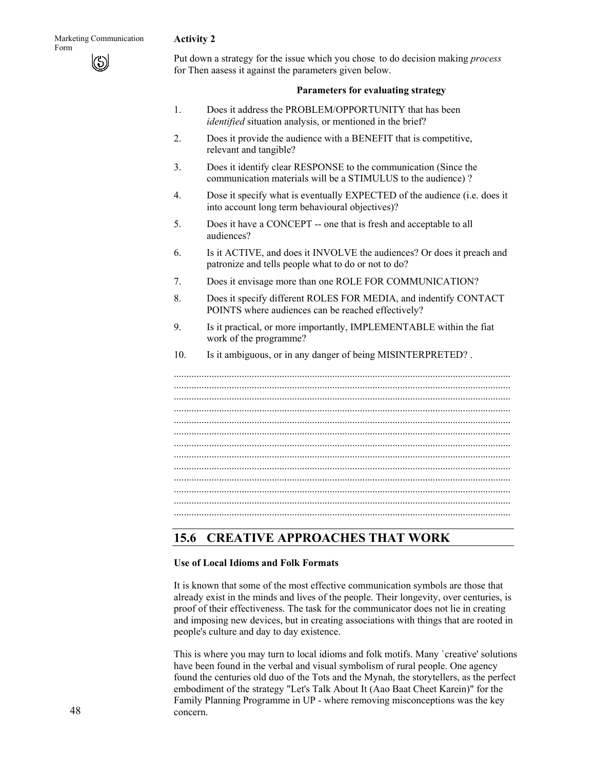### **Activity 2**

Put down a strategy for the issue which you chose. to do decision making *process*  for Then aasess it against the parameters given below.

#### **Parameters for evaluating strategy**

- 1. Does it address the PROBLEM/OPPORTUNITY that has been *identified* situation analysis, or mentioned in the brief?
- 2. Does it provide the audience with a BENEFIT that is competitive, relevant and tangible?
- 3. Does it identify clear RESPONSE to the communication (Since the communication materials will be a STIMULUS to the audience) ?
- 4. Dose it specify what is eventually EXPECTED of the audience (i.e. does it into account long term behavioural objectives)?
- 5. Does it have a CONCEPT -- one that is fresh and acceptable to all audiences?
- 6. Is it ACTIVE, and does it INVOLVE the audiences? Or does it preach and patronize and tells people what to do or not to do?
- 7. Does it envisage more than one ROLE FOR COMMUNICATION?
- 8. Does it specify different ROLES FOR MEDIA, and indentify CONTACT POINTS where audiences can be reached effectively?
- 9. Is it practical, or more importantly, IMPLEMENTABLE within the fiat work of the programme?
- 10. Is it ambiguous, or in any danger of being MISINTERPRETED? .

...................................................................................................................................... ...................................................................................................................................... ...................................................................................................................................... ...................................................................................................................................... ...................................................................................................................................... ...................................................................................................................................... ...................................................................................................................................... ...................................................................................................................................... ...................................................................................................................................... ...................................................................................................................................... ...................................................................................................................................... ......................................................................................................................................

## **15.6 CREATIVE APPROACHES THAT WORK**

#### **Use of Local Idioms and Folk Formats**

It is known that some of the most effective communication symbols are those that already exist in the minds and lives of the people. Their longevity, over centuries, is proof of their effectiveness. The task for the communicator does not lie in creating and imposing new devices, but in creating associations with things that are rooted in people's culture and day to day existence.

This is where you may turn to local idioms and folk motifs. Many `creative' solutions have been found in the verbal and visual symbolism of rural people. One agency found the centuries old duo of the Tots and the Mynah, the storytellers, as the perfect embodiment of the strategy "Let's Talk About It (Aao Baat Cheet Karein)" for the Family Planning Programme in UP - where removing misconceptions was the key concern.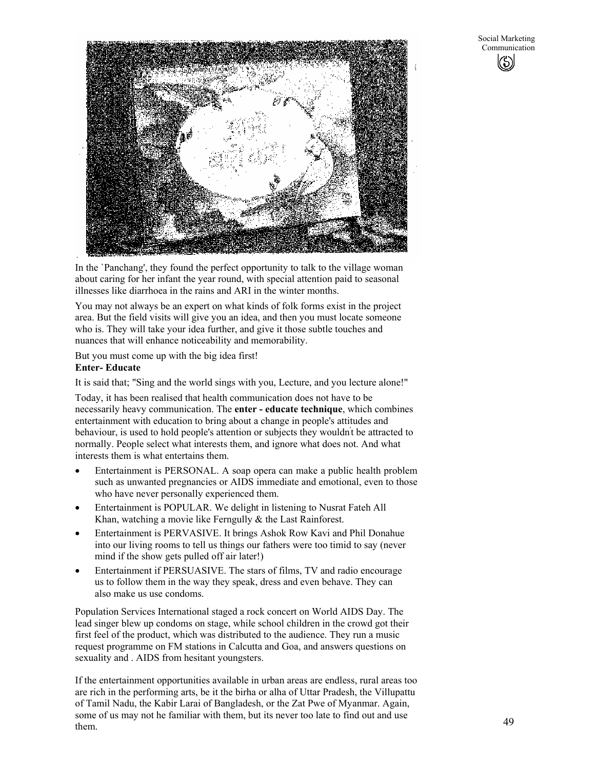

In the `Panchang', they found the perfect opportunity to talk to the village woman about caring for her infant the year round, with special attention paid to seasonal illnesses like diarrhoea in the rains and ARI in the winter months.

You may not always be an expert on what kinds of folk forms exist in the project area. But the field visits will give you an idea, and then you must locate someone who is. They will take your idea further, and give it those subtle touches and nuances that will enhance noticeability and memorability.

But you must come up with the big idea first!

### **Enter- Educate**

It is said that; "Sing and the world sings with you, Lecture, and you lecture alone!"

Today, it has been realised that health communication does not have to be necessarily heavy communication. The **enter - educate technique**, which combines entertainment with education to bring about a change in people's attitudes and behaviour, is used to hold people's attention or subjects they wouldn't be attracted to normally. People select what interests them, and ignore what does not. And what interests them is what entertains them.

- Entertainment is PERSONAL. A soap opera can make a public health problem such as unwanted pregnancies or AIDS immediate and emotional, even to those who have never personally experienced them.
- Entertainment is POPULAR. We delight in listening to Nusrat Fateh All Khan, watching a movie like Ferngully & the Last Rainforest.
- Entertainment is PERVASIVE. It brings Ashok Row Kavi and Phil Donahue into our living rooms to tell us things our fathers were too timid to say (never mind if the show gets pulled off air later!)
- Entertainment if PERSUASIVE. The stars of films, TV and radio encourage us to follow them in the way they speak, dress and even behave. They can also make us use condoms.

Population Services International staged a rock concert on World AIDS Day. The lead singer blew up condoms on stage, while school children in the crowd got their first feel of the product, which was distributed to the audience. They run a music request programme on FM stations in Calcutta and Goa, and answers questions on sexuality and . AIDS from hesitant youngsters.

If the entertainment opportunities available in urban areas are endless, rural areas too are rich in the performing arts, be it the birha or alha of Uttar Pradesh, the Villupattu of Tamil Nadu, the Kabir Larai of Bangladesh, or the Zat Pwe of Myanmar. Again, some of us may not he familiar with them, but its never too late to find out and use them.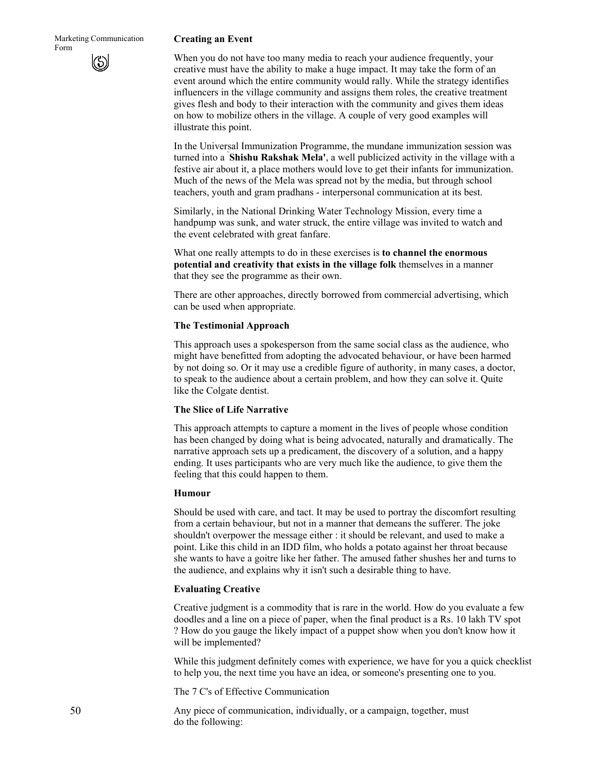#### **Creating an Event**

When you do not have too many media to reach your audience frequently, your creative must have the ability to make a huge impact. It may take the form of an event around which the entire community would rally. While the strategy identifies influencers in the village community and assigns them roles, the creative treatment gives flesh and body to their interaction with the community and gives them ideas on how to mobilize others in the village. A couple of very good examples will illustrate this point.

In the Universal Immunization Programme, the mundane immunization session was turned into a **` Shishu Rakshak Mela'**, a well publicized activity in the village with a festive air about it, a place mothers would love to get their infants for immunization. Much of the news of the Mela was spread not by the media, but through school teachers, youth and gram pradhans - interpersonal communication at its best.

Similarly, in the National Drinking Water Technology Mission, every time a handpump was sunk, and water struck, the entire village was invited to watch and the event celebrated with great fanfare.

What one really attempts to do in these exercises is **to channel the enormous potential and creativity that exists in the village folk** themselves in a manner that they see the programme as their own.

There are other approaches, directly borrowed from commercial advertising, which can be used when appropriate.

#### **The Testimonial Approach**

This approach uses a spokesperson from the same social class as the audience, who might have benefitted from adopting the advocated behaviour, or have been harmed by not doing so. Or it may use a credible figure of authority, in many cases, a doctor, to speak to the audience about a certain problem, and how they can solve it. Quite like the Colgate dentist.

#### **The Slice of Life Narrative**

This approach attempts to capture a moment in the lives of people whose condition has been changed by doing what is being advocated, naturally and dramatically. The narrative approach sets up a predicament, the discovery of a solution, and a happy ending. It uses participants who are very much like the audience, to give them the feeling that this could happen to them.

#### **Humour**

Should be used with care, and tact. It may be used to portray the discomfort resulting from a certain behaviour, but not in a manner that demeans the sufferer. The joke shouldn't overpower the message either : it should be relevant, and used to make a point. Like this child in an IDD film, who holds a potato against her throat because she wants to have a goitre like her father. The amused father shushes her and turns to the audience, and explains why it isn't such a desirable thing to have.

#### **Evaluating Creative**

Creative judgment is a commodity that is rare in the world. How do you evaluate a few doodles and a line on a piece of paper, when the final product is a Rs. 10 lakh TV spot ? How do you gauge the likely impact of a puppet show when you don't know how it will be implemented?

While this judgment definitely comes with experience, we have for you a quick checklist to help you, the next time you have an idea, or someone's presenting one to you.

The 7 C's of Effective Communication

Any piece of communication, individually, or a campaign, together, must do the following: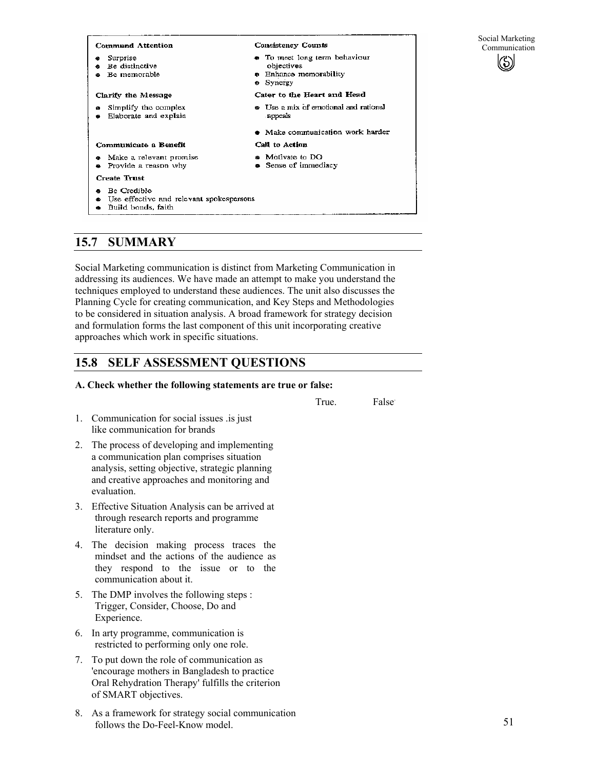| <b>Command Attention</b>                                                      | <b>Consistency Counts</b>                                                                 | Social Marketing<br>Communication |
|-------------------------------------------------------------------------------|-------------------------------------------------------------------------------------------|-----------------------------------|
| Surprise<br>Be distinctive<br>Be memorable                                    | • To meet long term behaviour<br>objectives<br><b>e</b> Enhance memorability<br>• Synergy |                                   |
| Clarify the Message                                                           | Cater to the Heart and Head                                                               |                                   |
| Simplify the complex<br>۰<br>Elaborate and explain                            | <b><math>\bullet</math></b> Use a mix of emotional and rational<br>appeals                |                                   |
|                                                                               | • Make communication work harder                                                          |                                   |
| Communicate a Benefit                                                         | Call to Action                                                                            |                                   |
| Make a relevant promise<br>Provide a reason why                               | <b>a</b> Motivate to DO<br>• Sense of immediacy                                           |                                   |
| <b>Create Trust</b>                                                           |                                                                                           |                                   |
| Be Credible<br>Use effective and relevant spokespersons<br>Build bonds, faith |                                                                                           |                                   |

## **15.7 SUMMARY**

Social Marketing communication is distinct from Marketing Communication in addressing its audiences. We have made an attempt to make you understand the techniques employed to understand these audiences. The unit also discusses the Planning Cycle for creating communication, and Key Steps and Methodologies to be considered in situation analysis. A broad framework for strategy decision and formulation forms the last component of this unit incorporating creative approaches which work in specific situations.

## **15.8 SELF ASSESSMENT QUESTIONS**

### **A. Check whether the following statements are true or false:**

True. False.

- 1. Communication for social issues .is just like communication for brands
- 2. The process of developing and implementing a communication plan comprises situation analysis, setting objective, strategic planning and creative approaches and monitoring and evaluation.
- 3. Effective Situation Analysis can be arrived at through research reports and programme literature only.
- 4. The decision making process traces the mindset and the actions of the audience as they respond to the issue or to the communication about it.
- 5. The DMP involves the following steps : Trigger, Consider, Choose, Do and Experience.
- 6. In arty programme, communication is restricted to performing only one role.
- 7. To put down the role of communication as 'encourage mothers in Bangladesh to practice Oral Rehydration Therapy' fulfills the criterion of SMART objectives.
- 8. As a framework for strategy social communication follows the Do-Feel-Know model.

51